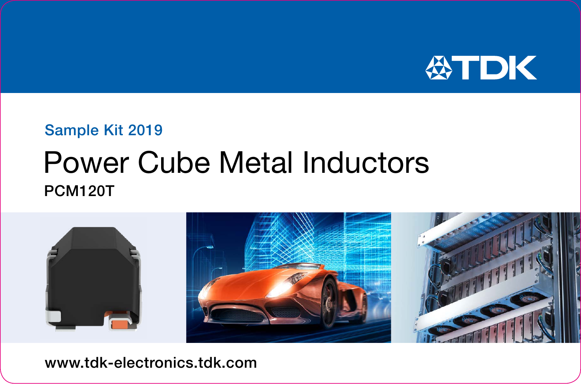

## Sample Kit 2019

## Power Cube Metal Inductors PCM120T



www.tdk-electronics.tdk.com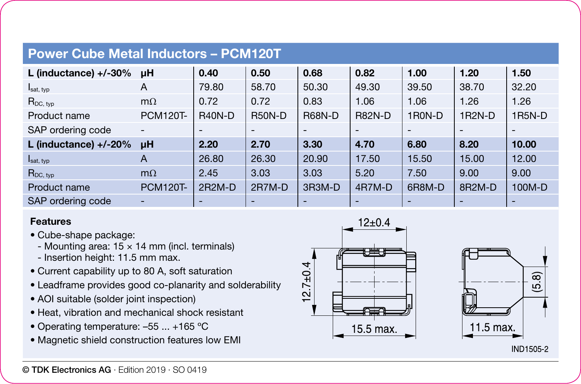## **Power Cube Metal Inductors – PCM120T**

| L (inductance) $+/-30\%$ | uH                       | 0.40                     | 0.50                     | 0.68          | 0.82          | 1.00            | 1.20                | 1.50   |
|--------------------------|--------------------------|--------------------------|--------------------------|---------------|---------------|-----------------|---------------------|--------|
| $I_{\text{sat, typ}}$    | A                        | 79.80                    | 58.70                    | 50.30         | 49.30         | 39.50           | 38.70               | 32.20  |
| $R_{DC, typ}$            | $m\Omega$                | 0.72                     | 0.72                     | 0.83          | 1.06          | 1.06            | 1.26                | 1.26   |
| Product name             | <b>PCM120T-</b>          | <b>R40N-D</b>            | <b>R50N-D</b>            | <b>R68N-D</b> | <b>R82N-D</b> | 1R0N-D          | 1R2N-D              | 1R5N-D |
| SAP ordering code        | $\overline{\phantom{a}}$ | $\overline{\phantom{a}}$ | $\overline{\phantom{a}}$ | ۰             |               | $\qquad \qquad$ |                     |        |
| L (inductance) $+/-20%$  | uH                       | 2.20                     | 2.70                     | 3.30          | 4.70          | 6.80            | 8.20                | 10.00  |
| $I_{\text{sat, typ}}$    | $\overline{A}$           | 26.80                    | 26.30                    | 20.90         | 17.50         | 15.50           | 15.00               | 12.00  |
| $R_{DC, typ}$            | $m\Omega$                | 2.45                     | 3.03                     | 3.03          | 5.20          | 7.50            | 9.00                | 9.00   |
| Product name             | <b>PCM120T-</b>          | $2R2M-D$                 | $2R7M-D$                 | 3R3M-D        | 4R7M-D        | 6R8M-D          | 8R <sub>2</sub> M-D | 100M-D |
| SAP ordering code        | $\overline{\phantom{a}}$ |                          | -                        | ۰             |               | -               |                     |        |

## **Features**

- Cube-shape package:
	- Mounting area:  $15 \times 14$  mm (incl. terminals)
	- Insertion height: 11.5 mm max.
- Current capability up to 80 A, soft saturation
- Leadframe provides good co-planarity and solderability
- AOI suitable (solder joint inspection)
- Heat, vibration and mechanical shock resistant
- Operating temperature: –55 ... +165 ºC
- Magnetic shield construction features low EMI